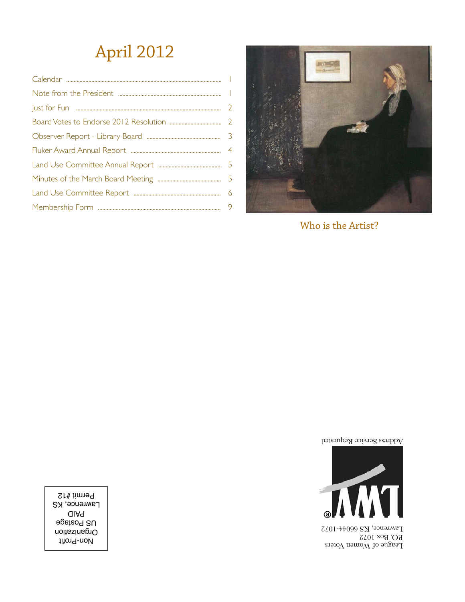## April 2012



Who is the Artist?

Address Service Requested



 $\Gamma$ eague of Women Voters P.O. Box 1072 Lawrence, KS 66044-1072

Non-Profit Organization US Postage PAID **Lawrence, KS** Permit #12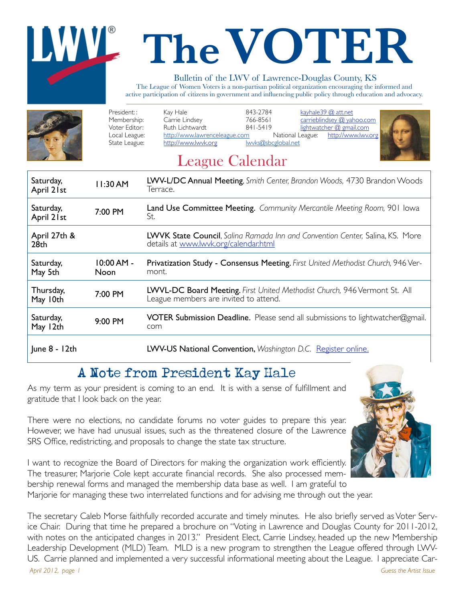# **The VOTER**

#### Bulletin of the LWV of Lawrence-Douglas County, KS

The League of Women Voters is a non-partisan political organization encouraging the informed and active participation of citizens in government and influencing public policy through education and advocacy.



| Saturday,<br>April 21st          | 11:30 AM                    | LWV-L/DC Annual Meeting, Smith Center, Brandon Woods, 4730 Brandon Woods<br>Terrace.                                   |
|----------------------------------|-----------------------------|------------------------------------------------------------------------------------------------------------------------|
| Saturday,<br>April 21st          | 7:00 PM                     | Land Use Committee Meeting. Community Mercantile Meeting Room, 901 Iowa<br>St.                                         |
| April 27th &<br>28 <sub>th</sub> |                             | LWVK State Council, Salina Ramada Inn and Convention Center, Salina, KS. More<br>details at www.lwvk.org/calendar.html |
| Saturday,<br>May 5th             | $10:00 AM -$<br><b>Noon</b> | Privatization Study - Consensus Meeting. First United Methodist Church, 946 Ver-<br>mont.                              |
| Thursday,<br>May 10th            | 7:00 PM                     | LWVL-DC Board Meeting. First United Methodist Church, 946 Vermont St. All<br>League members are invited to attend.     |
| Saturday,<br>May 12th            | 9:00 PM                     | <b>VOTER Submission Deadline.</b> Please send all submissions to lightwatcher@gmail.<br>com                            |
| $ une 8 - 12th$                  |                             | LWV-US National Convention, Washington D.C. Register online.                                                           |

## A Note from President Kay Hale

As my term as your president is coming to an end. It is with a sense of fulfillment and gratitude that I look back on the year.

There were no elections, no candidate forums no voter guides to prepare this year. However, we have had unusual issues, such as the threatened closure of the Lawrence SRS Office, redistricting, and proposals to change the state tax structure.

I want to recognize the Board of Directors for making the organization work efficiently. The treasurer, Marjorie Cole kept accurate financial records. She also processed membership renewal forms and managed the membership data base as well. I am grateful to Marjorie for managing these two interrelated functions and for advising me through out the year.

The secretary Caleb Morse faithfully recorded accurate and timely minutes. He also briefly served as Voter Service Chair. During that time he prepared a brochure on "Voting in Lawrence and Douglas County for 2011-2012, with notes on the anticipated changes in 2013." President Elect, Carrie Lindsey, headed up the new Membership Leadership Development (MLD) Team. MLD is a new program to strengthen the League offered through LWV-US. Carrie planned and implemented a very successful informational meeting about the League. I appreciate Car-*April 2012, page 1 Guess the Artist Issue*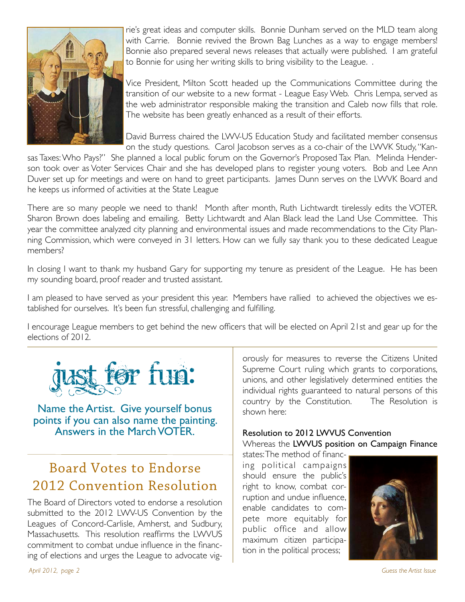

rie's great ideas and computer skills. Bonnie Dunham served on the MLD team along with Carrie. Bonnie revived the Brown Bag Lunches as a way to engage members! Bonnie also prepared several news releases that actually were published. I am grateful to Bonnie for using her writing skills to bring visibility to the League. .

Vice President, Milton Scott headed up the Communications Committee during the transition of our website to a new format - League Easy Web. Chris Lempa, served as the web administrator responsible making the transition and Caleb now fills that role. The website has been greatly enhanced as a result of their efforts.

David Burress chaired the LWV-US Education Study and facilitated member consensus on the study questions. Carol Jacobson serves as a co-chair of the LWVK Study, "Kan-

sas Taxes: Who Pays?" She planned a local public forum on the Governor's Proposed Tax Plan. Melinda Henderson took over as Voter Services Chair and she has developed plans to register young voters. Bob and Lee Ann Duver set up for meetings and were on hand to greet participants. James Dunn serves on the LWVK Board and he keeps us informed of activities at the State League

There are so many people we need to thank! Month after month, Ruth Lichtwardt tirelessly edits the VOTER. Sharon Brown does labeling and emailing. Betty Lichtwardt and Alan Black lead the Land Use Committee. This year the committee analyzed city planning and environmental issues and made recommendations to the City Planning Commission, which were conveyed in 31 letters. How can we fully say thank you to these dedicated League members?

In closing I want to thank my husband Gary for supporting my tenure as president of the League. He has been my sounding board, proof reader and trusted assistant.

I am pleased to have served as your president this year. Members have rallied to achieved the objectives we established for ourselves. It's been fun stressful, challenging and fulfilling.

I encourage League members to get behind the new officers that will be elected on April 21st and gear up for the elections of 2012.



Name the Artist. Give yourself bonus points if you can also name the painting. Answers in the March VOTER.

## Board Votes to Endorse 2012 Convention Resolution

The Board of Directors voted to endorse a resolution submitted to the 2012 LWV-US Convention by the Leagues of Concord-Carlisle, Amherst, and Sudbury, Massachusetts. This resolution reaffirms the LWVUS commitment to combat undue influence in the financing of elections and urges the League to advocate vigorously for measures to reverse the Citizens United Supreme Court ruling which grants to corporations, unions, and other legislatively determined entities the individual rights guaranteed to natural persons of this country by the Constitution. The Resolution is shown here:

#### Resolution to 2012 LWVUS Convention Whereas the LWVUS position on Campaign Finance

states: The method of financing political campaigns should ensure the public's right to know, combat corruption and undue influence, enable candidates to compete more equitably for public office and allow maximum citizen participation in the political process;



*April 2012, page 2 Guess the Artist Issue*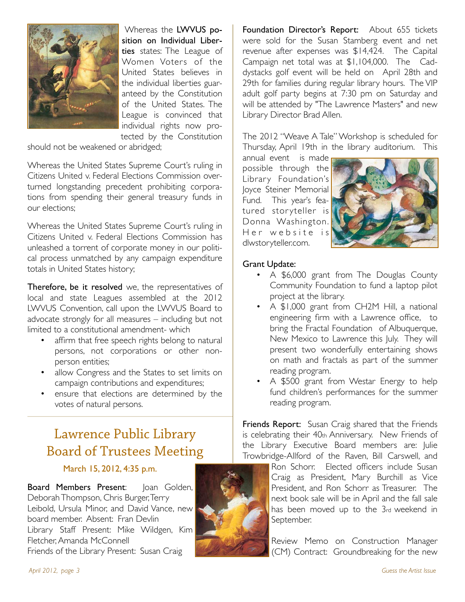

 Whereas the LWVUS position on Individual Liberties states: The League of Women Voters of the United States believes in the individual liberties guaranteed by the Constitution of the United States. The League is convinced that individual rights now protected by the Constitution

should not be weakened or abridged;

Whereas the United States Supreme Court's ruling in Citizens United v. Federal Elections Commission overturned longstanding precedent prohibiting corporations from spending their general treasury funds in our elections;

Whereas the United States Supreme Court's ruling in Citizens United v. Federal Elections Commission has unleashed a torrent of corporate money in our political process unmatched by any campaign expenditure totals in United States history;

Therefore, be it resolved we, the representatives of local and state Leagues assembled at the 2012 LWVUS Convention, call upon the LWVUS Board to advocate strongly for all measures – including but not limited to a constitutional amendment- which

- affirm that free speech rights belong to natural persons, not corporations or other nonperson entities;
- allow Congress and the States to set limits on campaign contributions and expenditures;
- ensure that elections are determined by the votes of natural persons.

## Lawrence Public Library Board of Trustees Meeting

### March 15, 2012, 4:35 p.m.

Board Members Present: Joan Golden, Deborah Thompson, Chris Burger, Terry Leibold, Ursula Minor, and David Vance, new board member. Absent: Fran Devlin Library Staff Present: Mike Wildgen, Kim Fletcher, Amanda McConnell Friends of the Library Present: Susan Craig



Foundation Director's Report: About 655 tickets were sold for the Susan Stamberg event and net revenue after expenses was \$14,424. The Capital Campaign net total was at \$1,104,000. The Caddystacks golf event will be held on April 28th and 29th for families during regular library hours. The VIP adult golf party begins at 7:30 pm on Saturday and will be attended by "The Lawrence Masters" and new Library Director Brad Allen.

The 2012 "Weave A Tale" Workshop is scheduled for Thursday, April 19th in the library auditorium. This

annual event is made possible through the Library Foundation's Joyce Steiner Memorial Fund. This year's featured storyteller is Donna Washington. Her website is dlwstoryteller.com.



#### Grant Update:

- A \$6,000 grant from The Douglas County Community Foundation to fund a laptop pilot project at the library.
- A \$1,000 grant from CH2M Hill, a national engineering firm with a Lawrence office, to bring the Fractal Foundation of Albuquerque, New Mexico to Lawrence this July. They will present two wonderfully entertaining shows on math and fractals as part of the summer reading program.
- A \$500 grant from Westar Energy to help fund children's performances for the summer reading program.

Friends Report: Susan Craig shared that the Friends is celebrating their 40th Anniversary. New Friends of the Library Executive Board members are: Julie Trowbridge-Allford of the Raven, Bill Carswell, and

> Ron Schorr. Elected officers include Susan Craig as President, Mary Burchill as Vice President, and Ron Schorr as Treasurer. The next book sale will be in April and the fall sale has been moved up to the 3rd weekend in September.

Review Memo on Construction Manager (CM) Contract: Groundbreaking for the new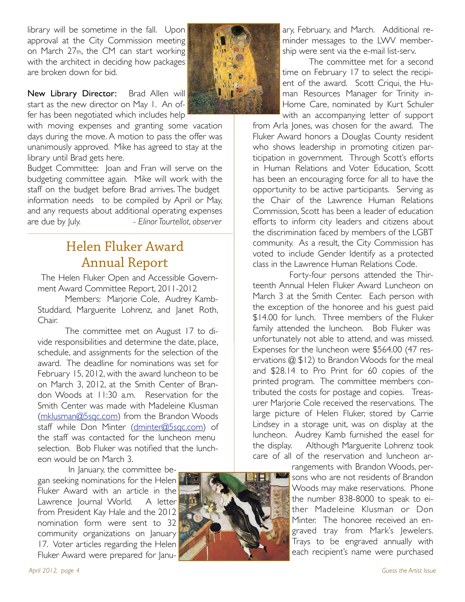library will be sometime in the fall. Upon approval at the City Commission meeting on March 27th, the CM can start working with the architect in deciding how packages are broken down for bid.

New Library Director: Brad Allen will start as the new director on May 1. An offer has been negotiated which includes help

with moving expenses and granting some vacation days during the move. A motion to pass the offer was unanimously approved. Mike has agreed to stay at the library until Brad gets here.

Budget Committee: Joan and Fran will serve on the budgeting committee again. Mike will work with the staff on the budget before Brad arrives. The budget information needs to be compiled by April or May, and any requests about additional operating expenses are due by July. *- Elinor Tourtellot, observer*

## Helen Fluker Award Annual Report

The Helen Fluker Open and Accessible Government Award Committee Report, 2011-2012

Members: Marjorie Cole, Audrey Kamb-Studdard, Marguerite Lohrenz, and Janet Roth, Chair.

The committee met on August 17 to divide responsibilities and determine the date, place, schedule, and assignments for the selection of the award. The deadline for nominations was set for February 15, 2012, with the award luncheon to be on March 3, 2012, at the Smith Center of Brandon Woods at 11:30 a.m. Reservation for the Smith Center was made with Madeleine Klusman (mklusman@5sqc.com) from the Brandon Woods staff while Don Minter (dminter@5sqc.com) of the staff was contacted for the luncheon menu selection. Bob Fluker was notified that the luncheon would be on March 3.

 In January, the committee began seeking nominations for the Helen Fluker Award with an article in the Lawrence Journal World. A letter from President Kay Hale and the 2012 nomination form were sent to 32 community organizations on January 17. Voter articles regarding the Helen Fluker Award were prepared for Janu-



ary, February, and March. Additional reminder messages to the LWV membership were sent via the e-mail list-serv.

 The committee met for a second time on February 17 to select the recipient of the award. Scott Criqui, the Human Resources Manager for Trinity in-Home Care, nominated by Kurt Schuler with an accompanying letter of support

from Arla Jones, was chosen for the award. The Fluker Award honors a Douglas County resident who shows leadership in promoting citizen participation in government. Through Scott's efforts in Human Relations and Voter Education, Scott has been an encouraging force for all to have the opportunity to be active participants. Serving as the Chair of the Lawrence Human Relations Commission, Scott has been a leader of education efforts to inform city leaders and citizens about the discrimination faced by members of the LGBT community. As a result, the City Commission has voted to include Gender Identify as a protected class in the Lawrence Human Relations Code.

 Forty-four persons attended the Thirteenth Annual Helen Fluker Award Luncheon on March 3 at the Smith Center. Each person with the exception of the honoree and his guest paid \$14.00 for lunch. Three members of the Fluker family attended the luncheon. Bob Fluker was unfortunately not able to attend, and was missed. Expenses for the luncheon were \$564.00 (47 reservations @ \$12) to Brandon Woods for the meal and \$28.14 to Pro Print for 60 copies of the printed program. The committee members contributed the costs for postage and copies. Treasurer Marjorie Cole received the reservations. The large picture of Helen Fluker, stored by Carrie Lindsey in a storage unit, was on display at the luncheon. Audrey Kamb furnished the easel for the display. Although Marguerite Lohrenz took care of all of the reservation and luncheon ar-

> rangements with Brandon Woods, persons who are not residents of Brandon Woods may make reservations. Phone the number 838-8000 to speak to either Madeleine Klusman or Don Minter. The honoree received an engraved tray from Mark's Jewelers. Trays to be engraved annually with each recipient's name were purchased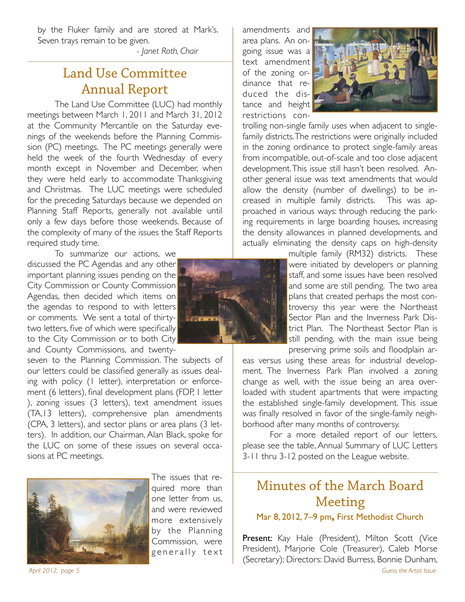by the Fluker family and are stored at Mark's. Seven trays remain to be given.

"" " " *- Janet Roth, Chair*

## Land Use Committee Annual Report

The Land Use Committee (LUC) had monthly meetings between March 1, 2011 and March 31, 2012 at the Community Mercantile on the Saturday evenings of the weekends before the Planning Commission (PC) meetings. The PC meetings generally were held the week of the fourth Wednesday of every month except in November and December, when they were held early to accommodate Thanksgiving and Christmas. The LUC meetings were scheduled for the preceding Saturdays because we depended on Planning Staff Reports, generally not available until only a few days before those weekends. Because of the complexity of many of the issues the Staff Reports required study time.

To summarize our actions, we discussed the PC Agendas and any other important planning issues pending on the City Commission or County Commission Agendas, then decided which items on the agendas to respond to with letters or comments. We sent a total of thirtytwo letters, five of which were specifically to the City Commission or to both City and County Commissions, and twenty-

seven to the Planning Commission. The subjects of our letters could be classified generally as issues dealing with policy (1 letter), interpretation or enforcement (6 letters), final development plans (FDP, 1 letter ), zoning issues (3 letters), text amendment issues (TA,13 letters), comprehensive plan amendments (CPA, 3 letters), and sector plans or area plans (3 letters). In addition, our Chairman, Alan Black, spoke for the LUC on some of these issues on several occasions at PC meetings.



The issues that required more than one letter from us, and were reviewed more extensively by the Planning Commission, were generally text

amendments and area plans. An ongoing issue was a text amendment of the zoning ordinance that reduced the distance and height restrictions con-

trolling non-single family uses when adjacent to singlefamily districts. The restrictions were originally included in the zoning ordinance to protect single-family areas from incompatible, out-of-scale and too close adjacent development. This issue still hasn't been resolved. Another general issue was text amendments that would allow the density (number of dwellings) to be increased in multiple family districts. This was approached in various ways: through reducing the parking requirements in large boarding houses, increasing the density allowances in planned developments, and actually eliminating the density caps on high-density

> multiple family (RM32) districts. These were initiated by developers or planning staff, and some issues have been resolved and some are still pending. The two area plans that created perhaps the most controversy this year were the Northeast Sector Plan and the Inverness Park District Plan. The Northeast Sector Plan is still pending, with the main issue being preserving prime soils and floodplain ar-

eas versus using these areas for industrial development. The Inverness Park Plan involved a zoning change as well, with the issue being an area overloaded with student apartments that were impacting the established single-family development. This issue was finally resolved in favor of the single-family neighborhood after many months of controversy.

For a more detailed report of our letters, please see the table, Annual Summary of LUC Letters 3-11 thru 3-12 posted on the League website.

## Minutes of the March Board Meeting

Mar 8, 2012, 7–9 pm**,** First Methodist Church

Present: Kay Hale (President), Milton Scott (Vice President), Marjorie Cole (Treasurer), Caleb Morse (Secretary); Directors: David Burress, Bonnie Dunham, *April 2012, page 5 Guess the Artist Issue*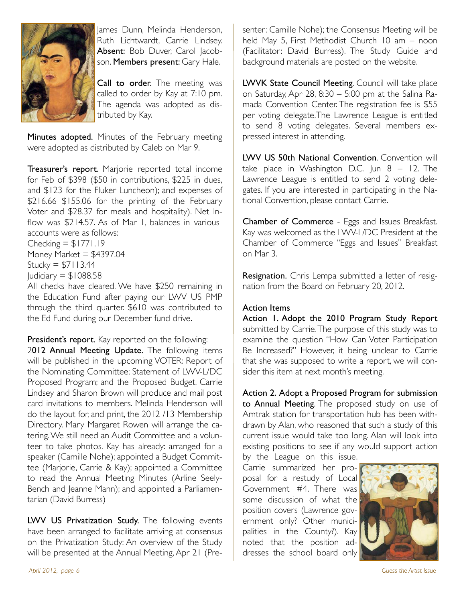

lames Dunn, Melinda Henderson, Ruth Lichtwardt, Carrie Lindsey. Absent: Bob Duver, Carol Jacobson. Members present: Gary Hale.

Call to order. The meeting was called to order by Kay at 7:10 pm. The agenda was adopted as distributed by Kay.

Minutes adopted. Minutes of the February meeting were adopted as distributed by Caleb on Mar 9.

Treasurer's report. Marjorie reported total income for Feb of \$398 (\$50 in contributions, \$225 in dues, and \$123 for the Fluker Luncheon); and expenses of \$216.66 \$155.06 for the printing of the February Voter and \$28.37 for meals and hospitality). Net Inflow was \$214.57. As of Mar 1, balances in various accounts were as follows:

Checking  $= $1771.19$ Money Market  $=$  \$4397.04 Stucky =  $$7113.44$  $Judiciary = $1088.58$ 

All checks have cleared. We have \$250 remaining in the Education Fund after paying our LWV US PMP through the third quarter. \$610 was contributed to the Ed Fund during our December fund drive.

President's report. Kay reported on the following: 2012 Annual Meeting Update. The following items will be published in the upcoming VOTER: Report of the Nominating Committee; Statement of LWV-L/DC Proposed Program; and the Proposed Budget. Carrie Lindsey and Sharon Brown will produce and mail post card invitations to members. Melinda Henderson will do the layout for, and print, the 2012 /13 Membership Directory. Mary Margaret Rowen will arrange the catering. We still need an Audit Committee and a volunteer to take photos. Kay has already: arranged for a speaker (Camille Nohe); appointed a Budget Committee (Marjorie, Carrie & Kay); appointed a Committee to read the Annual Meeting Minutes (Arline Seely-Bench and Jeanne Mann); and appointed a Parliamentarian (David Burress)

LWV US Privatization Study. The following events have been arranged to facilitate arriving at consensus on the Privatization Study: An overview of the Study will be presented at the Annual Meeting, Apr 21 (Presenter: Camille Nohe); the Consensus Meeting will be held May 5, First Methodist Church 10 am – noon (Facilitator: David Burress). The Study Guide and background materials are posted on the website.

LWVK State Council Meeting. Council will take place on Saturday, Apr 28, 8:30 – 5:00 pm at the Salina Ramada Convention Center. The registration fee is \$55 per voting delegate.The Lawrence League is entitled to send 8 voting delegates. Several members expressed interest in attending.

LWV US 50th National Convention. Convention will take place in Washington D.C. Jun  $8 - 12$ . The Lawrence League is entitled to send 2 voting delegates. If you are interested in participating in the National Convention, please contact Carrie.

Chamber of Commerce - Eggs and Issues Breakfast. Kay was welcomed as the LWV-L/DC President at the Chamber of Commerce "Eggs and Issues" Breakfast on Mar 3.

Resignation. Chris Lempa submitted a letter of resignation from the Board on February 20, 2012.

### Action Items

Action 1. Adopt the 2010 Program Study Report submitted by Carrie. The purpose of this study was to examine the question "How Can Voter Participation Be Increased?" However, it being unclear to Carrie that she was supposed to write a report, we will consider this item at next month's meeting.

Action 2. Adopt a Proposed Program for submission to Annual Meeting. The proposed study on use of Amtrak station for transportation hub has been withdrawn by Alan, who reasoned that such a study of this current issue would take too long. Alan will look into existing positions to see if any would support action

by the League on this issue.

Carrie summarized her proposal for a restudy of Local Government #4. There was some discussion of what the position covers (Lawrence government only? Other municipalities in the County?). Kay noted that the position addresses the school board only

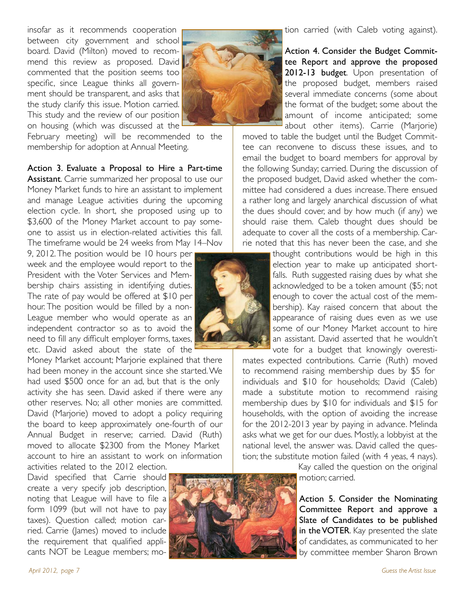insofar as it recommends cooperation between city government and school board. David (Milton) moved to recommend this review as proposed. David commented that the position seems too specific, since League thinks all government should be transparent, and asks that the study clarify this issue. Motion carried. This study and the review of our position on housing (which was discussed at the



February meeting) will be recommended to the membership for adoption at Annual Meeting.

Action 3. Evaluate a Proposal to Hire a Part-time Assistant. Carrie summarized her proposal to use our Money Market funds to hire an assistant to implement and manage League activities during the upcoming election cycle. In short, she proposed using up to \$3,600 of the Money Market account to pay someone to assist us in election-related activities this fall. The timeframe would be 24 weeks from May 14–Nov

9, 2012. The position would be 10 hours per week and the employee would report to the President with the Voter Services and Membership chairs assisting in identifying duties. The rate of pay would be offered at \$10 per hour. The position would be filled by a non-League member who would operate as an independent contractor so as to avoid the need to fill any difficult employer forms, taxes, etc. David asked about the state of the

Money Market account; Marjorie explained that there had been money in the account since she started. We had used \$500 once for an ad, but that is the only activity she has seen. David asked if there were any other reserves. No; all other monies are committed. David (Marjorie) moved to adopt a policy requiring the board to keep approximately one-fourth of our Annual Budget in reserve; carried. David (Ruth) moved to allocate \$2300 from the Money Market account to hire an assistant to work on information activities related to the 2012 election.

David specified that Carrie should create a very specify job description, noting that League will have to file a form 1099 (but will not have to pay taxes). Question called; motion carried. Carrie (James) moved to include the requirement that qualified applicants NOT be League members; mo-

Action 4. Consider the Budget Committee Report and approve the proposed 2012-13 budget. Upon presentation of the proposed budget, members raised several immediate concerns (some about the format of the budget; some about the amount of income anticipated; some about other items). Carrie (Marjorie)

moved to table the budget until the Budget Committee can reconvene to discuss these issues, and to email the budget to board members for approval by the following Sunday; carried. During the discussion of the proposed budget, David asked whether the committee had considered a dues increase. There ensued a rather long and largely anarchical discussion of what the dues should cover, and by how much (if any) we should raise them. Caleb thought dues should be adequate to cover all the costs of a membership. Carrie noted that this has never been the case, and she

> thought contributions would be high in this election year to make up anticipated shortfalls. Ruth suggested raising dues by what she acknowledged to be a token amount (\$5; not enough to cover the actual cost of the membership). Kay raised concern that about the appearance of raising dues even as we use some of our Money Market account to hire an assistant. David asserted that he wouldn't vote for a budget that knowingly overesti-

mates expected contributions. Carrie (Ruth) moved to recommend raising membership dues by \$5 for individuals and \$10 for households; David (Caleb) made a substitute motion to recommend raising membership dues by \$10 for individuals and \$15 for households, with the option of avoiding the increase for the 2012-2013 year by paying in advance. Melinda asks what we get for our dues. Mostly, a lobbyist at the national level, the answer was. David called the question; the substitute motion failed (with 4 yeas, 4 nays).

> Kay called the question on the original motion; carried.

Action 5. Consider the Nominating Committee Report and approve a Slate of Candidates to be published in the VOTER. Kay presented the slate of candidates, as communicated to her by committee member Sharon Brown

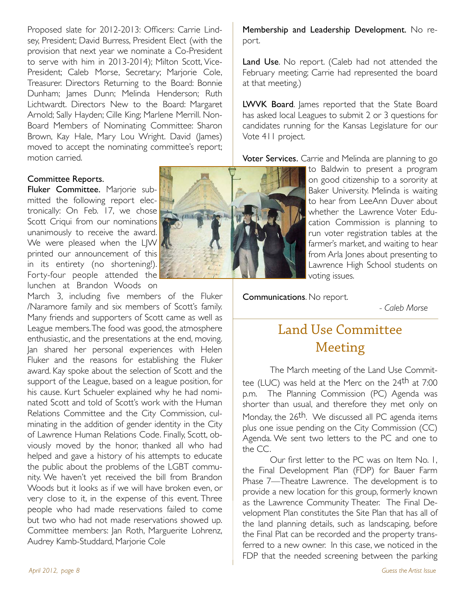Proposed slate for 2012-2013: Officers: Carrie Lindsey, President; David Burress, President Elect (with the provision that next year we nominate a Co-President to serve with him in 2013-2014); Milton Scott, Vice-President; Caleb Morse, Secretary; Marjorie Cole, Treasurer. Directors Returning to the Board: Bonnie Dunham; James Dunn; Melinda Henderson; Ruth Lichtwardt. Directors New to the Board: Margaret Arnold; Sally Hayden; Cille King; Marlene Merrill. Non-Board Members of Nominating Committee: Sharon Brown, Kay Hale, Mary Lou Wright. David (James) moved to accept the nominating committee's report; motion carried.

#### Committee Reports.

Fluker Committee. Marjorie submitted the following report electronically: On Feb. 17, we chose Scott Criqui from our nominations unanimously to receive the award. We were pleased when the LJW printed our announcement of this in its entirety (no shortening!). Forty-four people attended the lunchen at Brandon Woods on

March 3, including five members of the Fluker /Naramore family and six members of Scott's family. Many friends and supporters of Scott came as well as League members. The food was good, the atmosphere enthusiastic, and the presentations at the end, moving. Jan shared her personal experiences with Helen Fluker and the reasons for establishing the Fluker award. Kay spoke about the selection of Scott and the support of the League, based on a league position, for his cause. Kurt Schueler explained why he had nominated Scott and told of Scott's work with the Human Relations Committee and the City Commission, culminating in the addition of gender identity in the City of Lawrence Human Relations Code. Finally, Scott, obviously moved by the honor, thanked all who had helped and gave a history of his attempts to educate the public about the problems of the LGBT community. We haven't yet received the bill from Brandon Woods but it looks as if we will have broken even, or very close to it, in the expense of this event. Three people who had made reservations failed to come but two who had not made reservations showed up. Committee members: Jan Roth, Marguerite Lohrenz, Audrey Kamb-Studdard, Marjorie Cole



Membership and Leadership Development. No report.

Land Use. No report. (Caleb had not attended the February meeting; Carrie had represented the board at that meeting.)

LWVK Board. James reported that the State Board has asked local Leagues to submit 2 or 3 questions for candidates running for the Kansas Legislature for our Vote 411 project.

Voter Services. Carrie and Melinda are planning to go

to Baldwin to present a program on good citizenship to a sorority at Baker University. Melinda is waiting to hear from LeeAnn Duver about whether the Lawrence Voter Education Commission is planning to run voter registration tables at the farmer's market, and waiting to hear from Arla Jones about presenting to Lawrence High School students on voting issues.

Communications. No report.

" "

""""" *- Caleb Morse*

## Land Use Committee Meeting

The March meeting of the Land Use Committee (LUC) was held at the Merc on the 24th at 7:00 p.m. The Planning Commission (PC) Agenda was shorter than usual, and therefore they met only on Monday, the 26<sup>th</sup>. We discussed all PC agenda items plus one issue pending on the City Commission (CC) Agenda. We sent two letters to the PC and one to the CC.

Our first letter to the PC was on Item No. 1, the Final Development Plan (FDP) for Bauer Farm Phase 7—Theatre Lawrence. The development is to provide a new location for this group, formerly known as the Lawrence Community Theater. The Final Development Plan constitutes the Site Plan that has all of the land planning details, such as landscaping, before the Final Plat can be recorded and the property transferred to a new owner. In this case, we noticed in the FDP that the needed screening between the parking